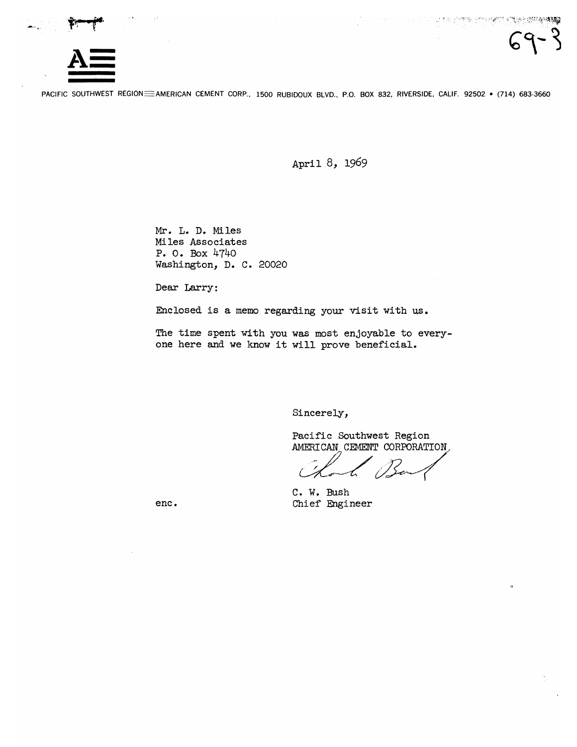

PACIFIC SOUTHWEST REGION= AMERICAN CEMENT CORP., 1500 RUBIDOUX BLVD., P.O. BOX 832, RIVERSIDE, CALIF. 92502 · (714) 683-3660

April 8, 1969

Mr. L. D. Miles Miles Associates P. O. Box 4740 Washington, D. C. 20020

Dear Larry:

Enclosed is a memo regarding your visit with us.

The time spent with you was most enjoyable to everyone here and we know it will prove beneficial.

Sincerely,

Pacific Southwest Region AMERICAN CEMENT CORPORATION,

C. W. Bush Chief Engineer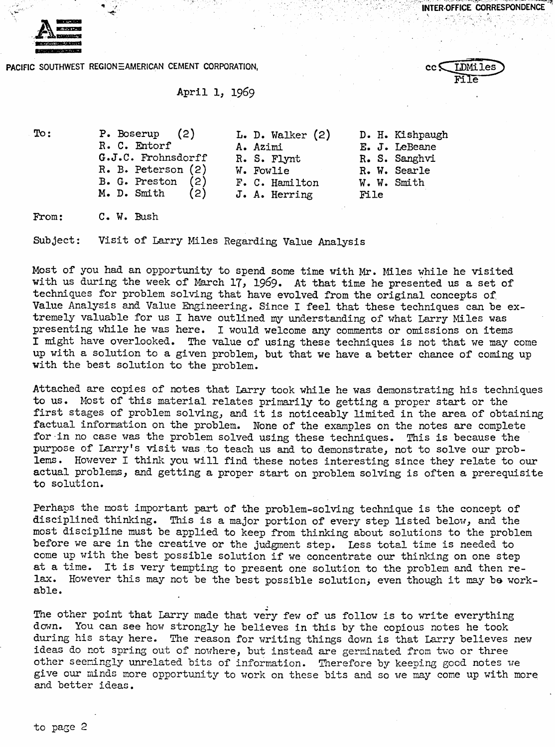INTER-OFFICE CORRESPONDENCE

**LDMiles** File



**PACIFIC SOUTHWEST REGIONEAMERICAN CEMENT CORPORATION,** 

## April 1, <sup>1969</sup>

To: P. Boserup (2) **L. D. Walker (2) R.** C. Entorf **A.** Azimi G.J.C. Frohnsdorff R. S. Flynt R. B. Peterson (2) **W. Fowlie**<br>**B. G. Preston** (2) **F. C. Hamilton B. G. Preston (2)**<br>**M. D. Smith (2) M. D.** Smith (2) **Jo A.** Herring D. H. Kishpaugh E. J. LeBeme R. S. Sanghvi R. W. Searle W. W. Smith File

From: C. W. Bush

Subject: Visit of Larry Miles Regarding Value Analysis

Most of you had an opportunity to spend some time with Mr. Miles while he visited with us during the week of March 17, 1969. At that time he presented us **a** set of techniques for problem solving that have evolved from the original concepts of. Value Analysis and Value Engineering. Since I feel that these techniques can be extremely valuable for us I have outlined my understanding of what Larry Miles was presenting while he was here. I would welcome any comnents or omissions on items I might have overlooked. **The** value of using these techniques is not that we may come up with a solution to a given problem, but that we have a better chance of coming up with the best solution to the problem.

Attached are copies of notes that Larry took while he **was** demonstrating his techniques to us. Most of this material relates primarily to getting a proper start or the first stages of problem solving, and it is noticeably limited in the area of obtaining factual information on the problem. None of the examples on the notes **are** complete for-in no case **was** the problem solved using these techniques. This is because the purpose of Larry's visit **was** to teach us and to demonstrate, not to solve our problems. Hovever I think you will find these notes interesting since they relate to our actual problems, and getting a proper start on problem solving is often a prerequisite to solution.

Perhaps the most important part of the problem-solving technique is the concept of disciplined thinking. This is a major portion of every step Listed below, and the most discipline must be applied to keep from thinking about solutions to the problem before we **are** in the creative or the judgment step. Less total **time** is needed to come up with the best possible solution if we concentrate our thinking on one step at a time. It is very tempting to present one solution to the problem and then re-<br>lax. However this may not be the best possible solution, even though it may be workable.

The other point that Larry made that very few of us follow is to write everything down. You can see how strongly he believes in this by the copious notes he took during his stay here. The reason for writing things down is that Larry believes new ideas do not spring out of nowhere, but instead are germinated from two or three other seemingly unrelated bits of information. Therefore by keeping good notes we give our minds more opportunity to work on these bits and so we may come up with more **and** better ideas.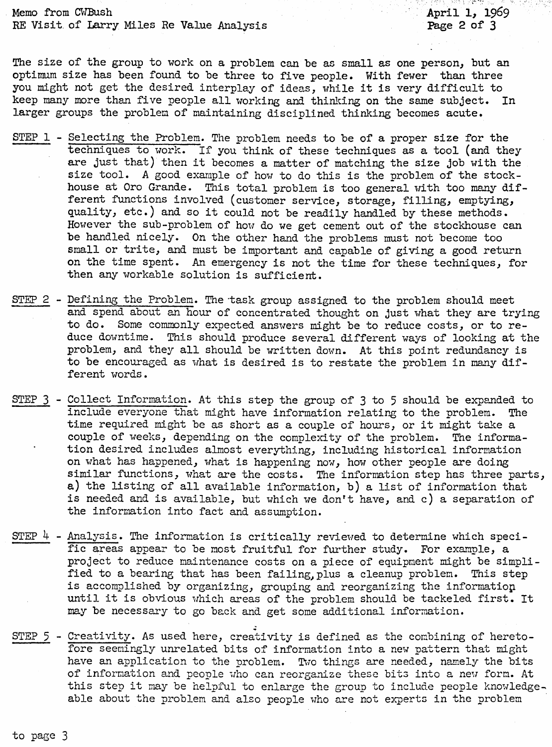Memo from CWBush RE Visit. of Larry Miles Re Value Analysis

The size of the group to work on a problem can be as small as one person, but an optimum size has been found to be three to five people. With fewer than three you might not get the desired interplay of ideas, while it is very difficult to keep many more than five people all workine, and thinking on the same subject. **In**  larger groups the problen of maintaining disciplined thinking becomes acute.

- **STEP** 1 Selecting the Problem. The problem needs to be of a proper size for the techniques to work. If you think of these techniques as a tool (and they are just that) then it becomes a matter of matching the size job with the size tool. **A** good exaraple of how to do this is the problem of the stockhouse at Oro Grande. This total problem is too general with too many different functions involved (customer service, storage, filling, emptying, quality, etc.) and so it could not be readily handled by these methods. However the sub-problem of how do we get cement out of the stockhouse can be handled nicely. On the other hand the problems must not become too small or trite, and nust be important and capable of giving a good return on the time spent. An emergency is not the time for these techniques, for then any workable solution is sufficient.
- **STEP** 2 Defining the Problem. The-task group assigned to the problem should meet and spend about an hour of concentrated thought on just vhat they are trying to do. Some commonly expected answers might be to reduce costs, or to reduce downtime. This should produce several different ways of looking at the problem, and they all should be written dovn. At this point redundancy is to be encouraged as what is desired is to restate the problem in many different words.
- STEP **3**  Collect Information. At this step the grous of **3** to 5 should be expanded to include everyone that might have information relating to the problem. The time required might be as short as a couple of hours, or it might take a couple of weeks, depending on the complexity of the problea. The information desired includes almost everything, including historical information on what has happened, what is happening nov, hov other people are doing similar functions, vhat are the costs. The information step has three parts, *a)* the listing of all available information, b) a list of information that is needed and is available, but which we don't have, and c) a separation of the information into fact and asswnption.
- STEP 4 Analysis. **The** information is critically reviewed to determine which specific areas appear to be most fruitful for further study. For example, a project to reduce maintenance costs on a piece of equipment night be simplified to a bearing that has been failing, plus a cleanup problem. This step is accomplished by organizing, grouping and reorganizing the information until it is obvious vhich areas of the problem should be tackeled first. It may be necessary to go back and get some additional information.
- STEP 5 Creativity. As used here, creativity is defined as the combining of heretofore seemingly unrelated bits of information into a nev pattern that might have an application to the problem. Two things are needed, namely the bits of information and people who can reorganize these bits into a new form. At this step it may be helpful to enlarge the group to include people knowledgeable about the problem and also people who are not experts in the problem